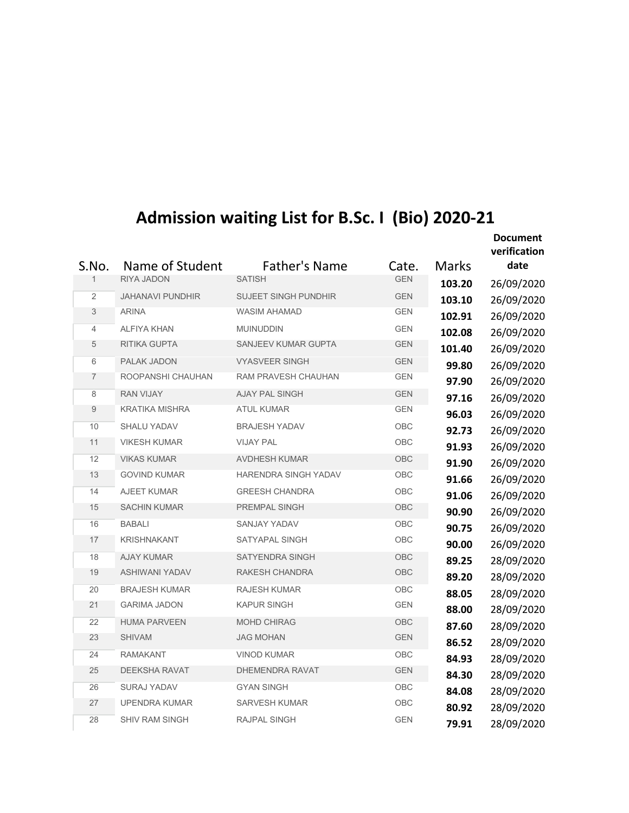| Admission waiting List for B.Sc. I (Bio) 2020-21 |  |  |
|--------------------------------------------------|--|--|
|--------------------------------------------------|--|--|

| Admission waiting List for B.Sc. I (Bio) 2020-21 |                         |                             |            |              |                                 |  |
|--------------------------------------------------|-------------------------|-----------------------------|------------|--------------|---------------------------------|--|
|                                                  |                         |                             |            |              | <b>Document</b><br>verification |  |
| S.No.                                            | Name of Student         | <b>Father's Name</b>        | Cate.      | <b>Marks</b> | date                            |  |
| 1                                                | RIYA JADON              | <b>SATISH</b>               | <b>GEN</b> | 103.20       | 26/09/2020                      |  |
| $\overline{2}$                                   | <b>JAHANAVI PUNDHIR</b> | <b>SUJEET SINGH PUNDHIR</b> | <b>GEN</b> | 103.10       | 26/09/2020                      |  |
| 3                                                | <b>ARINA</b>            | <b>WASIM AHAMAD</b>         | <b>GEN</b> | 102.91       | 26/09/2020                      |  |
| $\overline{4}$                                   | <b>ALFIYA KHAN</b>      | <b>MUINUDDIN</b>            | <b>GEN</b> | 102.08       | 26/09/2020                      |  |
| $\sqrt{5}$                                       | <b>RITIKA GUPTA</b>     | SANJEEV KUMAR GUPTA         | <b>GEN</b> | 101.40       | 26/09/2020                      |  |
| 6                                                | PALAK JADON             | <b>VYASVEER SINGH</b>       | <b>GEN</b> | 99.80        | 26/09/2020                      |  |
| $\overline{7}$                                   | ROOPANSHI CHAUHAN       | RAM PRAVESH CHAUHAN         | <b>GEN</b> | 97.90        | 26/09/2020                      |  |
| 8                                                | <b>RAN VIJAY</b>        | <b>AJAY PAL SINGH</b>       | <b>GEN</b> | 97.16        | 26/09/2020                      |  |
| $9\,$                                            | <b>KRATIKA MISHRA</b>   | <b>ATUL KUMAR</b>           | <b>GEN</b> | 96.03        | 26/09/2020                      |  |
| 10                                               | <b>SHALU YADAV</b>      | <b>BRAJESH YADAV</b>        | OBC        | 92.73        | 26/09/2020                      |  |
| 11                                               | <b>VIKESH KUMAR</b>     | <b>VIJAY PAL</b>            | OBC        | 91.93        | 26/09/2020                      |  |
| 12                                               | <b>VIKAS KUMAR</b>      | <b>AVDHESH KUMAR</b>        | OBC        | 91.90        | 26/09/2020                      |  |
| 13                                               | <b>GOVIND KUMAR</b>     | HARENDRA SINGH YADAV        | <b>OBC</b> | 91.66        | 26/09/2020                      |  |
| 14                                               | <b>AJEET KUMAR</b>      | <b>GREESH CHANDRA</b>       | OBC        | 91.06        | 26/09/2020                      |  |
| 15                                               | <b>SACHIN KUMAR</b>     | PREMPAL SINGH               | OBC        | 90.90        | 26/09/2020                      |  |
| 16                                               | <b>BABALI</b>           | <b>SANJAY YADAV</b>         | OBC        | 90.75        | 26/09/2020                      |  |
| 17                                               | <b>KRISHNAKANT</b>      | SATYAPAL SINGH              | OBC        | 90.00        | 26/09/2020                      |  |
| 18                                               | <b>AJAY KUMAR</b>       | <b>SATYENDRA SINGH</b>      | OBC        | 89.25        | 28/09/2020                      |  |
| 19                                               | <b>ASHIWANI YADAV</b>   | RAKESH CHANDRA              | OBC        | 89.20        | 28/09/2020                      |  |
| 20                                               | <b>BRAJESH KUMAR</b>    | <b>RAJESH KUMAR</b>         | OBC        | 88.05        | 28/09/2020                      |  |
| 21                                               | <b>GARIMA JADON</b>     | <b>KAPUR SINGH</b>          | <b>GEN</b> | 88.00        | 28/09/2020                      |  |
| 22                                               | <b>HUMA PARVEEN</b>     | <b>MOHD CHIRAG</b>          | OBC        | 87.60        | 28/09/2020                      |  |
| 23                                               | <b>SHIVAM</b>           | <b>JAG MOHAN</b>            | <b>GEN</b> | 86.52        | 28/09/2020                      |  |
| 24                                               | <b>RAMAKANT</b>         | <b>VINOD KUMAR</b>          | OBC.       | 84.93        | 28/09/2020                      |  |
| 25                                               | DEEKSHA RAVAT           | DHEMENDRA RAVAT             | <b>GEN</b> | 84.30        | 28/09/2020                      |  |
| 26                                               | SURAJ YADAV             | <b>GYAN SINGH</b>           | <b>OBC</b> | 84.08        | 28/09/2020                      |  |
| 27                                               | <b>UPENDRA KUMAR</b>    | <b>SARVESH KUMAR</b>        | OBC        | 80.92        | 28/09/2020                      |  |
| 28                                               | <b>SHIV RAM SINGH</b>   | RAJPAL SINGH                | <b>GEN</b> | 79.91        | 28/09/2020                      |  |